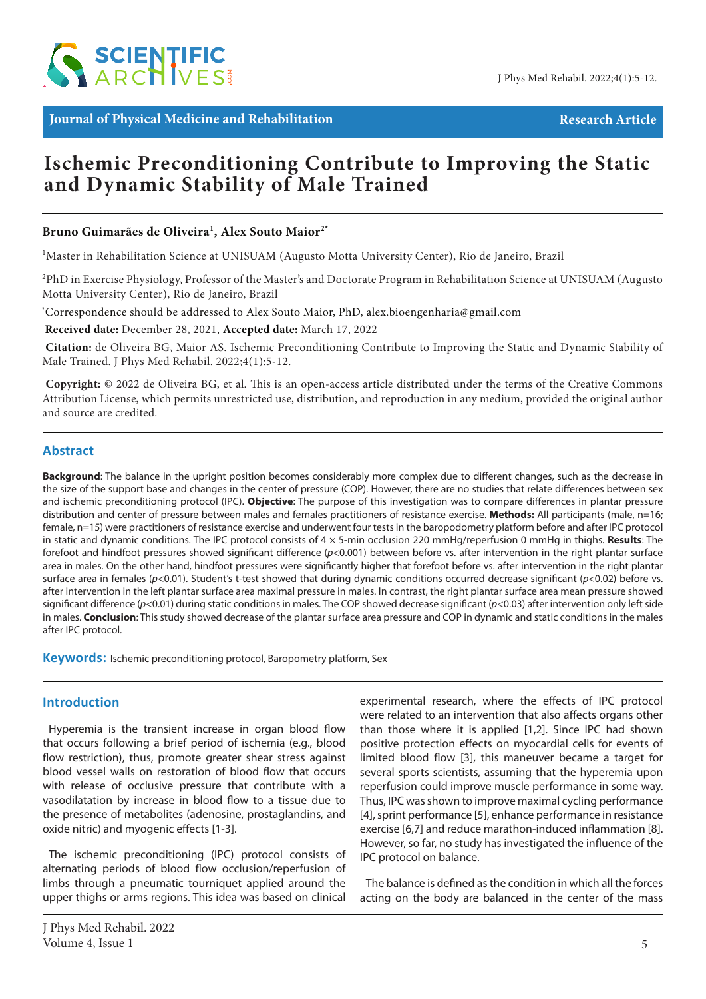

**Journal of Physical Medicine and Rehabilitation Research Article**

# **Ischemic Preconditioning Contribute to Improving the Static and Dynamic Stability of Male Trained**

# **Bruno Guimarães de Oliveira1 , Alex Souto Maior2\***

<sup>1</sup>Master in Rehabilitation Science at UNISUAM (Augusto Motta University Center), Rio de Janeiro, Brazil

<sup>2</sup>PhD in Exercise Physiology, Professor of the Master's and Doctorate Program in Rehabilitation Science at UNISUAM (Augusto Motta University Center), Rio de Janeiro, Brazil

\* Correspondence should be addressed to Alex Souto Maior, PhD, alex.bioengenharia@gmail.com

 **Received date:** December 28, 2021, **Accepted date:** March 17, 2022

**Citation:** de Oliveira BG, Maior AS. Ischemic Preconditioning Contribute to Improving the Static and Dynamic Stability of Male Trained. J Phys Med Rehabil. 2022;4(1):5-12.

 **Copyright:** © 2022 de Oliveira BG, et al. This is an open-access article distributed under the terms of the Creative Commons Attribution License, which permits unrestricted use, distribution, and reproduction in any medium, provided the original author and source are credited.

## **Abstract**

**Background**: The balance in the upright position becomes considerably more complex due to different changes, such as the decrease in the size of the support base and changes in the center of pressure (COP). However, there are no studies that relate differences between sex and ischemic preconditioning protocol (IPC). **Objective**: The purpose of this investigation was to compare differences in plantar pressure distribution and center of pressure between males and females practitioners of resistance exercise. **Methods:** All participants (male, n=16; female, n=15) were practitioners of resistance exercise and underwent four tests in the baropodometry platform before and after IPC protocol in static and dynamic conditions. The IPC protocol consists of 4 × 5-min occlusion 220 mmHg/reperfusion 0 mmHg in thighs. **Results**: The forefoot and hindfoot pressures showed significant difference (*p*<0.001) between before vs. after intervention in the right plantar surface area in males. On the other hand, hindfoot pressures were significantly higher that forefoot before vs. after intervention in the right plantar surface area in females (*p*<0.01). Student's t-test showed that during dynamic conditions occurred decrease significant (*p*<0.02) before vs. after intervention in the left plantar surface area maximal pressure in males. In contrast, the right plantar surface area mean pressure showed significant difference (*p*<0.01) during static conditions in males. The COP showed decrease significant (*p*<0.03) after intervention only left side in males. **Conclusion**: This study showed decrease of the plantar surface area pressure and COP in dynamic and static conditions in the males after IPC protocol.

**Keywords:** Ischemic preconditioning protocol, Baropometry platform, Sex

## **Introduction**

Hyperemia is the transient increase in organ blood flow that occurs following a brief period of ischemia (e.g., blood flow restriction), thus, promote greater shear stress against blood vessel walls on restoration of blood flow that occurs with release of occlusive pressure that contribute with a vasodilatation by increase in blood flow to a tissue due to the presence of metabolites (adenosine, prostaglandins, and oxide nitric) and myogenic effects [1-3].

The ischemic preconditioning (IPC) protocol consists of alternating periods of blood flow occlusion/reperfusion of limbs through a pneumatic tourniquet applied around the upper thighs or arms regions. This idea was based on clinical experimental research, where the effects of IPC protocol were related to an intervention that also affects organs other than those where it is applied [1,2]. Since IPC had shown positive protection effects on myocardial cells for events of limited blood flow [3], this maneuver became a target for several sports scientists, assuming that the hyperemia upon reperfusion could improve muscle performance in some way. Thus, IPC was shown to improve maximal cycling performance [4], sprint performance [5], enhance performance in resistance exercise [6,7] and reduce marathon-induced inflammation [8]. However, so far, no study has investigated the influence of the IPC protocol on balance.

The balance is defined as the condition in which all the forces acting on the body are balanced in the center of the mass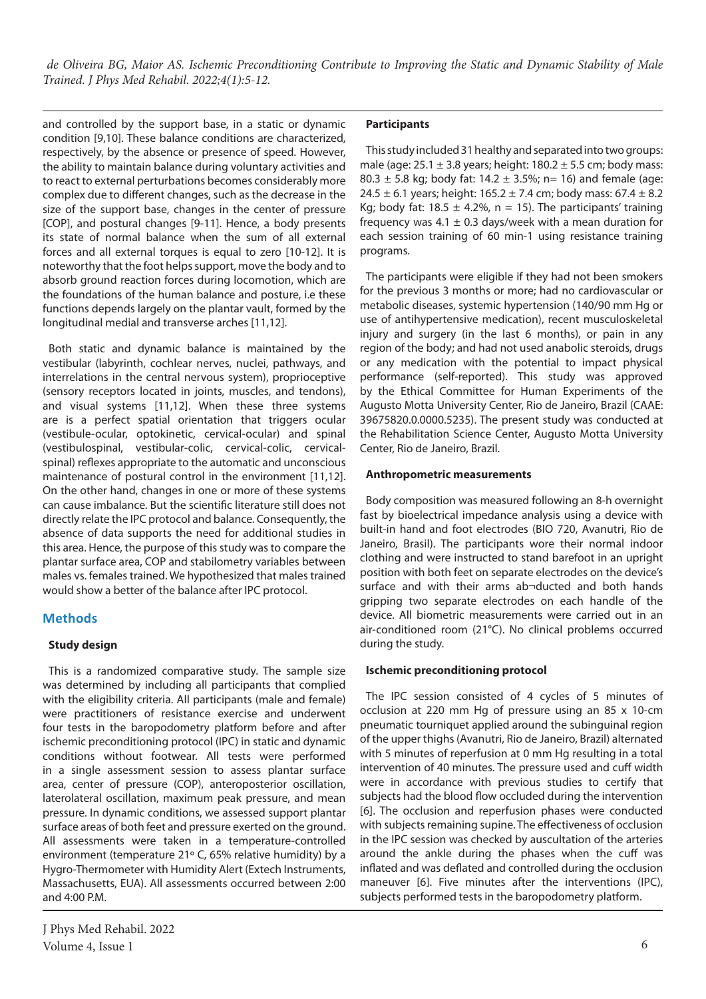and controlled by the support base, in a static or dynamic condition [9,10]. These balance conditions are characterized, respectively, by the absence or presence of speed. However, the ability to maintain balance during voluntary activities and to react to external perturbations becomes considerably more complex due to different changes, such as the decrease in the size of the support base, changes in the center of pressure [COP], and postural changes [9-11]. Hence, a body presents its state of normal balance when the sum of all external forces and all external torques is equal to zero [10-12]. It is noteworthy that the foot helps support, move the body and to absorb ground reaction forces during locomotion, which are the foundations of the human balance and posture, i.e these functions depends largely on the plantar vault, formed by the longitudinal medial and transverse arches [11,12].

Both static and dynamic balance is maintained by the vestibular (labyrinth, cochlear nerves, nuclei, pathways, and interrelations in the central nervous system), proprioceptive (sensory receptors located in joints, muscles, and tendons), and visual systems [11,12]. When these three systems are is a perfect spatial orientation that triggers ocular (vestibule-ocular, optokinetic, cervical-ocular) and spinal (vestibulospinal, vestibular-colic, cervical-colic, cervicalspinal) reflexes appropriate to the automatic and unconscious maintenance of postural control in the environment [11,12]. On the other hand, changes in one or more of these systems can cause imbalance. But the scientific literature still does not directly relate the IPC protocol and balance. Consequently, the absence of data supports the need for additional studies in this area. Hence, the purpose of this study was to compare the plantar surface area, COP and stabilometry variables between males vs. females trained. We hypothesized that males trained would show a better of the balance after IPC protocol.

# **Methods**

## **Study design**

This is a randomized comparative study. The sample size was determined by including all participants that complied with the eligibility criteria. All participants (male and female) were practitioners of resistance exercise and underwent four tests in the baropodometry platform before and after ischemic preconditioning protocol (IPC) in static and dynamic conditions without footwear. All tests were performed in a single assessment session to assess plantar surface area, center of pressure (COP), anteroposterior oscillation, laterolateral oscillation, maximum peak pressure, and mean pressure. In dynamic conditions, we assessed support plantar surface areas of both feet and pressure exerted on the ground. All assessments were taken in a temperature-controlled environment (temperature 21º C, 65% relative humidity) by a Hygro-Thermometer with Humidity Alert (Extech Instruments, Massachusetts, EUA). All assessments occurred between 2:00 and 4:00 P.M.

### **Participants**

This study included 31 healthy and separated into two groups: male (age:  $25.1 \pm 3.8$  years; height: 180.2  $\pm$  5.5 cm; body mass: 80.3  $\pm$  5.8 kg; body fat: 14.2  $\pm$  3.5%; n= 16) and female (age: 24.5  $\pm$  6.1 years; height: 165.2  $\pm$  7.4 cm; body mass: 67.4  $\pm$  8.2 Kg; body fat:  $18.5 \pm 4.2\%$ , n = 15). The participants' training frequency was 4.1  $\pm$  0.3 days/week with a mean duration for each session training of 60 min-1 using resistance training programs.

The participants were eligible if they had not been smokers for the previous 3 months or more; had no cardiovascular or metabolic diseases, systemic hypertension (140/90 mm Hg or use of antihypertensive medication), recent musculoskeletal injury and surgery (in the last 6 months), or pain in any region of the body; and had not used anabolic steroids, drugs or any medication with the potential to impact physical performance (self-reported). This study was approved by the Ethical Committee for Human Experiments of the Augusto Motta University Center, Rio de Janeiro, Brazil (CAAE: 39675820.0.0000.5235). The present study was conducted at the Rehabilitation Science Center, Augusto Motta University Center, Rio de Janeiro, Brazil.

#### **Anthropometric measurements**

Body composition was measured following an 8-h overnight fast by bioelectrical impedance analysis using a device with built-in hand and foot electrodes (BIO 720, Avanutri, Rio de Janeiro, Brasil). The participants wore their normal indoor clothing and were instructed to stand barefoot in an upright position with both feet on separate electrodes on the device's surface and with their arms ab¬ducted and both hands gripping two separate electrodes on each handle of the device. All biometric measurements were carried out in an air-conditioned room (21°C). No clinical problems occurred during the study.

## **Ischemic preconditioning protocol**

The IPC session consisted of 4 cycles of 5 minutes of occlusion at 220 mm Hg of pressure using an 85 x 10-cm pneumatic tourniquet applied around the subinguinal region of the upper thighs (Avanutri, Rio de Janeiro, Brazil) alternated with 5 minutes of reperfusion at 0 mm Hg resulting in a total intervention of 40 minutes. The pressure used and cuff width were in accordance with previous studies to certify that subjects had the blood flow occluded during the intervention [6]. The occlusion and reperfusion phases were conducted with subjects remaining supine. The effectiveness of occlusion in the IPC session was checked by auscultation of the arteries around the ankle during the phases when the cuff was inflated and was deflated and controlled during the occlusion maneuver [6]. Five minutes after the interventions (IPC), subjects performed tests in the baropodometry platform.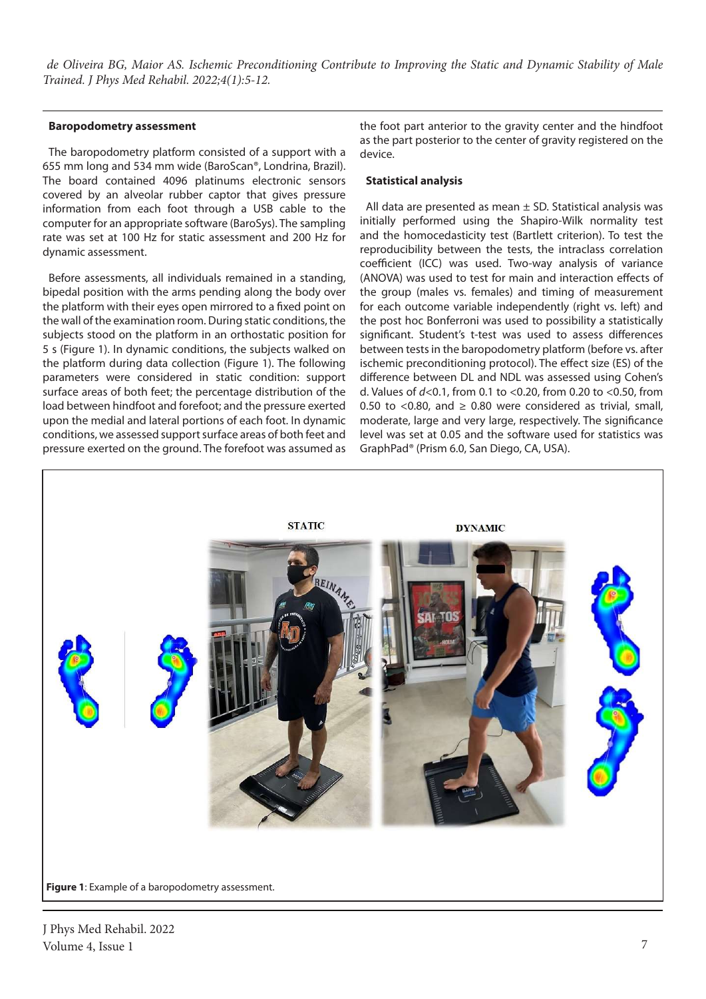#### **Baropodometry assessment**

The baropodometry platform consisted of a support with a 655 mm long and 534 mm wide (BaroScan®, Londrina, Brazil). The board contained 4096 platinums electronic sensors covered by an alveolar rubber captor that gives pressure information from each foot through a USB cable to the computer for an appropriate software (BaroSys). The sampling rate was set at 100 Hz for static assessment and 200 Hz for dynamic assessment.

Before assessments, all individuals remained in a standing, bipedal position with the arms pending along the body over the platform with their eyes open mirrored to a fixed point on the wall of the examination room. During static conditions, the subjects stood on the platform in an orthostatic position for 5 s (Figure 1). In dynamic conditions, the subjects walked on the platform during data collection (Figure 1). The following parameters were considered in static condition: support surface areas of both feet; the percentage distribution of the load between hindfoot and forefoot; and the pressure exerted upon the medial and lateral portions of each foot. In dynamic conditions, we assessed support surface areas of both feet and pressure exerted on the ground. The forefoot was assumed as the foot part anterior to the gravity center and the hindfoot as the part posterior to the center of gravity registered on the device.

#### **Statistical analysis**

All data are presented as mean  $\pm$  SD. Statistical analysis was initially performed using the Shapiro-Wilk normality test and the homocedasticity test (Bartlett criterion). To test the reproducibility between the tests, the intraclass correlation coefficient (ICC) was used. Two-way analysis of variance (ANOVA) was used to test for main and interaction effects of the group (males vs. females) and timing of measurement for each outcome variable independently (right vs. left) and the post hoc Bonferroni was used to possibility a statistically significant. Student's t-test was used to assess differences between tests in the baropodometry platform (before vs. after ischemic preconditioning protocol). The effect size (ES) of the difference between DL and NDL was assessed using Cohen's d. Values of *d*<0.1, from 0.1 to <0.20, from 0.20 to <0.50, from 0.50 to <0.80, and  $\geq$  0.80 were considered as trivial, small, moderate, large and very large, respectively. The significance level was set at 0.05 and the software used for statistics was GraphPad® (Prism 6.0, San Diego, CA, USA).



**Figure 1**: Example of a baropodometry assessment.

J Phys Med Rehabil. 2022 Volume 4, Issue 1 7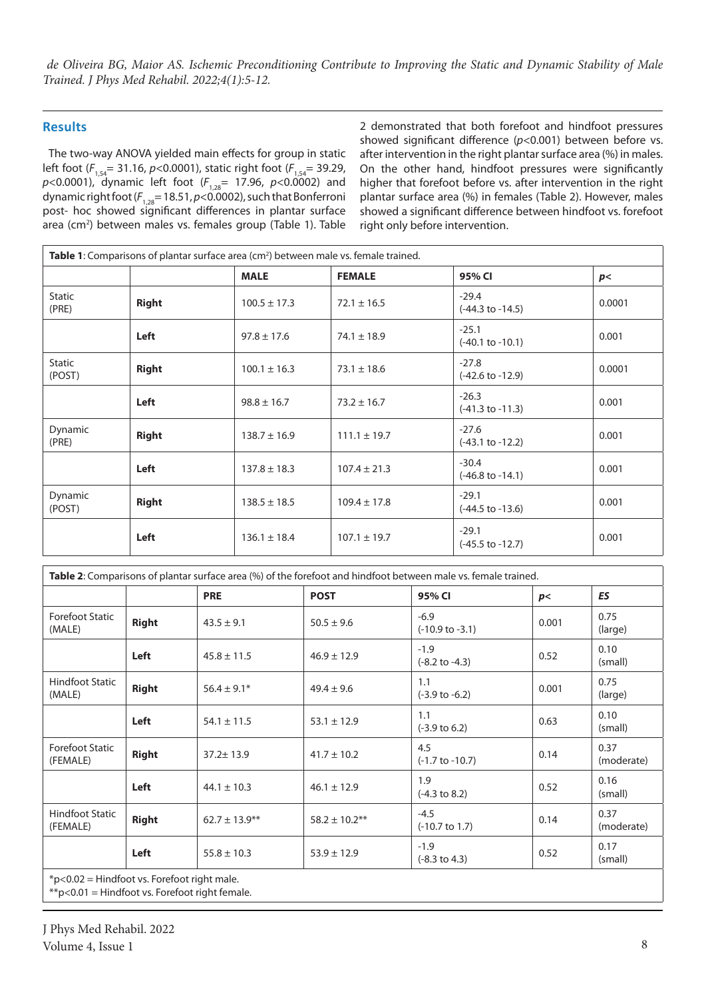# **Results**

The two-way ANOVA yielded main effects for group in static left foot ( $F_{1,54}$ = 31.16, *p*<0.0001), static right foot ( $F_{1,54}$ = 39.29, *p*<0.0001), dynamic left foot (*F*1,28= 17.96, *p*<0.0002) and dynamic right foot (*F*1,28= 18.51, *p*<0.0002), such that Bonferroni post- hoc showed significant differences in plantar surface area (cm<sup>2</sup>) between males vs. females group (Table 1). Table 2 demonstrated that both forefoot and hindfoot pressures showed significant difference (*p*<0.001) between before vs. after intervention in the right plantar surface area (%) in males. On the other hand, hindfoot pressures were significantly higher that forefoot before vs. after intervention in the right plantar surface area (%) in females (Table 2). However, males showed a significant difference between hindfoot vs. forefoot right only before intervention.

| <b>Table 1:</b> Comparisons of plantar surface area (cm <sup>2</sup> ) between male vs. female trained. |              |                  |                  |                                        |        |
|---------------------------------------------------------------------------------------------------------|--------------|------------------|------------------|----------------------------------------|--------|
|                                                                                                         |              | <b>MALE</b>      | <b>FEMALE</b>    | 95% CI                                 | p<     |
| <b>Static</b><br>(PRE)                                                                                  | <b>Right</b> | $100.5 \pm 17.3$ | $72.1 \pm 16.5$  | $-29.4$<br>$(-44.3 \text{ to } -14.5)$ | 0.0001 |
|                                                                                                         | Left         | $97.8 \pm 17.6$  | $74.1 \pm 18.9$  | $-25.1$<br>$(-40.1 \text{ to } -10.1)$ | 0.001  |
| <b>Static</b><br>(POST)                                                                                 | <b>Right</b> | $100.1 \pm 16.3$ | $73.1 \pm 18.6$  | $-27.8$<br>$(-42.6 \text{ to } -12.9)$ | 0.0001 |
|                                                                                                         | Left         | $98.8 \pm 16.7$  | $73.2 \pm 16.7$  | $-26.3$<br>$(-41.3 \text{ to } -11.3)$ | 0.001  |
| Dynamic<br>(PRE)                                                                                        | <b>Right</b> | $138.7 \pm 16.9$ | $111.1 \pm 19.7$ | $-27.6$<br>$(-43.1$ to $-12.2)$        | 0.001  |
|                                                                                                         | Left         | $137.8 \pm 18.3$ | $107.4 \pm 21.3$ | $-30.4$<br>$(-46.8 \text{ to } -14.1)$ | 0.001  |
| Dynamic<br>(POST)                                                                                       | <b>Right</b> | $138.5 \pm 18.5$ | $109.4 \pm 17.8$ | $-29.1$<br>$(-44.5 \text{ to } -13.6)$ | 0.001  |
|                                                                                                         | Left         | $136.1 \pm 18.4$ | $107.1 \pm 19.7$ | $-29.1$<br>$(-45.5 \text{ to } -12.7)$ | 0.001  |

|              |                    |                    | Table 2: Comparisons of plantar surface area (%) of the forefoot and hindfoot between male vs. female trained. |                                                         |                    |
|--------------|--------------------|--------------------|----------------------------------------------------------------------------------------------------------------|---------------------------------------------------------|--------------------|
|              | <b>PRE</b>         | <b>POST</b>        | 95% CI                                                                                                         | p<                                                      | <b>ES</b>          |
| <b>Right</b> | $43.5 \pm 9.1$     | $50.5 \pm 9.6$     | $-6.9$<br>$(-10.9 \text{ to } -3.1)$                                                                           | 0.001                                                   | 0.75<br>(large)    |
| Left         | $45.8 \pm 11.5$    | $46.9 \pm 12.9$    | $-1.9$<br>$(-8.2 \text{ to } -4.3)$                                                                            | 0.52                                                    | 0.10<br>(small)    |
| <b>Right</b> | $56.4 \pm 9.1*$    | $49.4 \pm 9.6$     | 1.1<br>$(-3.9 \text{ to } -6.2)$                                                                               | 0.001                                                   | 0.75<br>(large)    |
| Left         | $54.1 \pm 11.5$    | $53.1 \pm 12.9$    | 1.1<br>$(-3.9 \text{ to } 6.2)$                                                                                | 0.63                                                    | 0.10<br>(small)    |
| <b>Right</b> | $37.2 \pm 13.9$    | $41.7 \pm 10.2$    | 4.5<br>$(-1.7 \text{ to } -10.7)$                                                                              | 0.14                                                    | 0.37<br>(moderate) |
| Left         | $44.1 \pm 10.3$    | $46.1 \pm 12.9$    | 1.9<br>$(-4.3 \text{ to } 8.2)$                                                                                | 0.52                                                    | 0.16<br>(small)    |
| <b>Right</b> | $62.7 \pm 13.9***$ | $58.2 \pm 10.2$ ** | $-4.5$<br>$(-10.7 \text{ to } 1.7)$                                                                            | 0.14                                                    | 0.37<br>(moderate) |
| Left         | $55.8 \pm 10.3$    | $53.9 \pm 12.9$    | $-1.9$<br>$(-8.3 \text{ to } 4.3)$                                                                             | 0.52                                                    | 0.17<br>(small)    |
|              |                    |                    |                                                                                                                | $*$ $\sim$ 0.03 $-$ Hindfoot $\mu$ . Equator tight male |                    |

\*p<0.02 = Hindfoot vs. Forefoot right male.

\*\*p<0.01 = Hindfoot vs. Forefoot right female.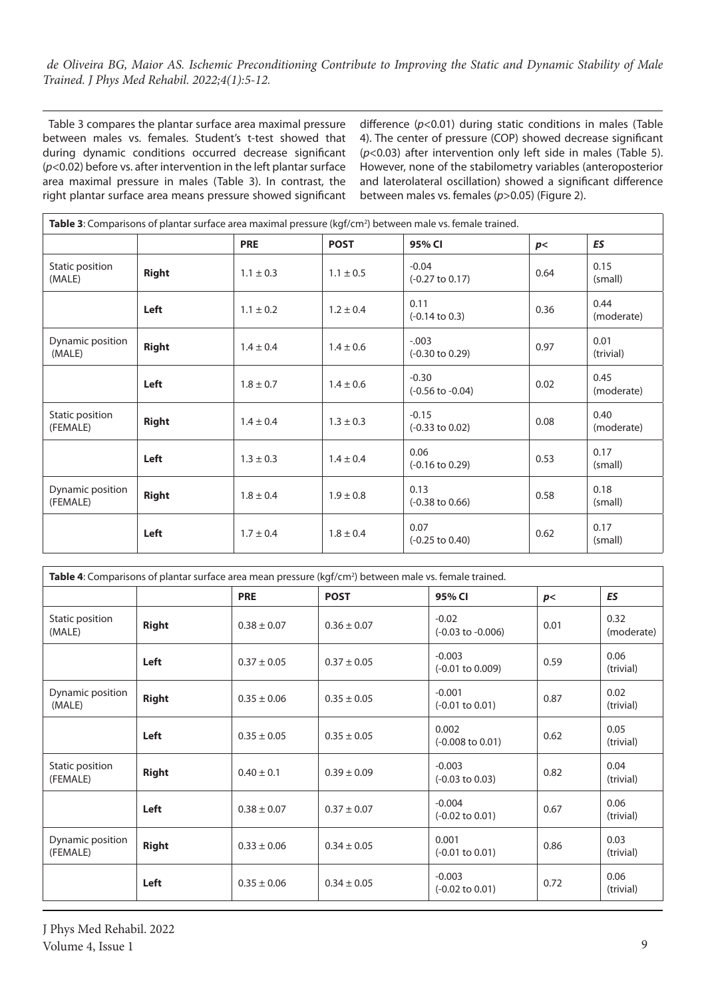Table 3 compares the plantar surface area maximal pressure between males vs. females. Student's t-test showed that during dynamic conditions occurred decrease significant (*p*<0.02) before vs. after intervention in the left plantar surface area maximal pressure in males (Table 3). In contrast, the right plantar surface area means pressure showed significant difference (*p*<0.01) during static conditions in males (Table 4). The center of pressure (COP) showed decrease significant (*p*<0.03) after intervention only left side in males (Table 5). However, none of the stabilometry variables (anteroposterior and laterolateral oscillation) showed a significant difference between males vs. females (*p*>0.05) (Figure 2).

| Table 3: Comparisons of plantar surface area maximal pressure (kgf/cm <sup>2</sup> ) between male vs. female trained. |              |               |               |                                        |      |                    |
|-----------------------------------------------------------------------------------------------------------------------|--------------|---------------|---------------|----------------------------------------|------|--------------------|
|                                                                                                                       |              | <b>PRE</b>    | <b>POST</b>   | 95% CI                                 | p<   | ES                 |
| Static position<br>(MALE)                                                                                             | <b>Right</b> | $1.1 \pm 0.3$ | $1.1 \pm 0.5$ | $-0.04$<br>$(-0.27 \text{ to } 0.17)$  | 0.64 | 0.15<br>(small)    |
|                                                                                                                       | Left         | $1.1 \pm 0.2$ | $1.2 \pm 0.4$ | 0.11<br>$(-0.14 \text{ to } 0.3)$      | 0.36 | 0.44<br>(moderate) |
| Dynamic position<br>(MALE)                                                                                            | <b>Right</b> | $1.4 \pm 0.4$ | $1.4 \pm 0.6$ | $-.003$<br>$(-0.30 \text{ to } 0.29)$  | 0.97 | 0.01<br>(trivial)  |
|                                                                                                                       | Left         | $1.8 \pm 0.7$ | $1.4 \pm 0.6$ | $-0.30$<br>$(-0.56 \text{ to } -0.04)$ | 0.02 | 0.45<br>(moderate) |
| Static position<br>(FEMALE)                                                                                           | <b>Right</b> | $1.4 \pm 0.4$ | $1.3 \pm 0.3$ | $-0.15$<br>$(-0.33 \text{ to } 0.02)$  | 0.08 | 0.40<br>(moderate) |
|                                                                                                                       | Left         | $1.3 \pm 0.3$ | $1.4 \pm 0.4$ | 0.06<br>$(-0.16 \text{ to } 0.29)$     | 0.53 | 0.17<br>(small)    |
| Dynamic position<br>(FEMALE)                                                                                          | <b>Right</b> | $1.8 \pm 0.4$ | $1.9 \pm 0.8$ | 0.13<br>$(-0.38 \text{ to } 0.66)$     | 0.58 | 0.18<br>(small)    |
|                                                                                                                       | Left         | $1.7 \pm 0.4$ | $1.8 \pm 0.4$ | 0.07<br>$(-0.25 \text{ to } 0.40)$     | 0.62 | 0.17<br>(small)    |

| Table 4: Comparisons of plantar surface area mean pressure (kgf/cm <sup>2</sup> ) between male vs. female trained. |              |                 |                 |                                         |      |                    |
|--------------------------------------------------------------------------------------------------------------------|--------------|-----------------|-----------------|-----------------------------------------|------|--------------------|
|                                                                                                                    |              | <b>PRE</b>      | <b>POST</b>     | 95% CI                                  | p<   | ES                 |
| Static position<br>(MALE)                                                                                          | <b>Right</b> | $0.38 \pm 0.07$ | $0.36 \pm 0.07$ | $-0.02$<br>$(-0.03 \text{ to } -0.006)$ | 0.01 | 0.32<br>(moderate) |
|                                                                                                                    | Left         | $0.37 \pm 0.05$ | $0.37 \pm 0.05$ | $-0.003$<br>$(-0.01 \text{ to } 0.009)$ | 0.59 | 0.06<br>(trivial)  |
| Dynamic position<br>(MALE)                                                                                         | <b>Right</b> | $0.35 \pm 0.06$ | $0.35 \pm 0.05$ | $-0.001$<br>$(-0.01 \text{ to } 0.01)$  | 0.87 | 0.02<br>(trivial)  |
|                                                                                                                    | Left         | $0.35 \pm 0.05$ | $0.35 \pm 0.05$ | 0.002<br>$(-0.008 \text{ to } 0.01)$    | 0.62 | 0.05<br>(trivial)  |
| Static position<br>(FEMALE)                                                                                        | <b>Right</b> | $0.40 \pm 0.1$  | $0.39 \pm 0.09$ | $-0.003$<br>$(-0.03 \text{ to } 0.03)$  | 0.82 | 0.04<br>(trivial)  |
|                                                                                                                    | Left         | $0.38 \pm 0.07$ | $0.37 \pm 0.07$ | $-0.004$<br>$(-0.02 \text{ to } 0.01)$  | 0.67 | 0.06<br>(trivial)  |
| Dynamic position<br>(FEMALE)                                                                                       | <b>Right</b> | $0.33 \pm 0.06$ | $0.34 \pm 0.05$ | 0.001<br>$(-0.01 \text{ to } 0.01)$     | 0.86 | 0.03<br>(trivial)  |
|                                                                                                                    | Left         | $0.35 \pm 0.06$ | $0.34 \pm 0.05$ | $-0.003$<br>$(-0.02 \text{ to } 0.01)$  | 0.72 | 0.06<br>(trivial)  |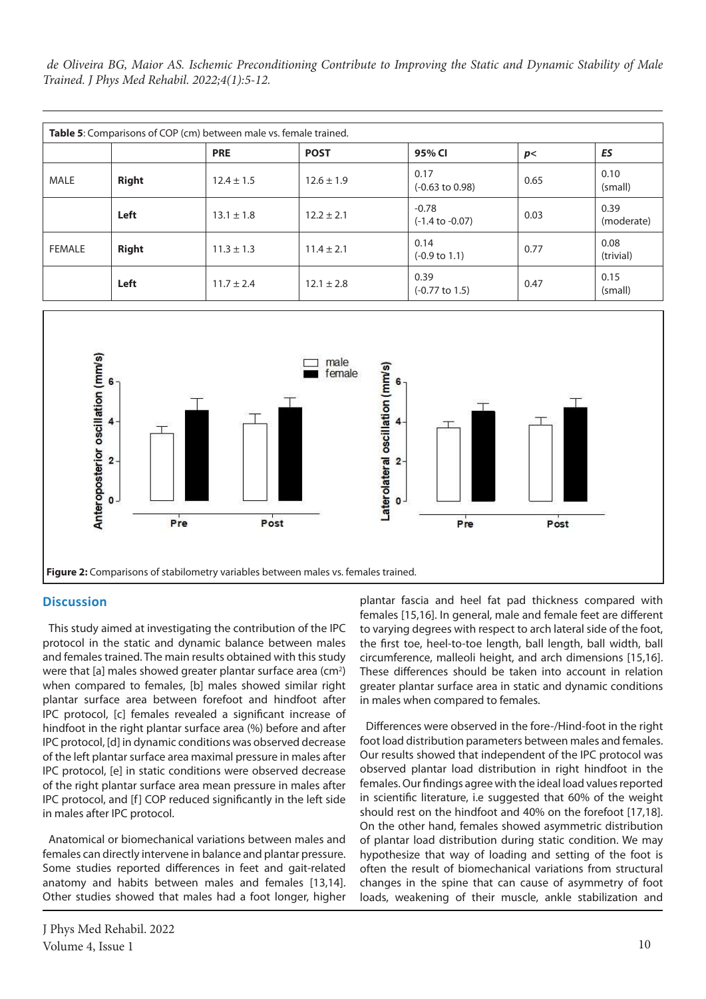*de Oliveira BG, Maior AS. Ischemic Preconditioning Contribute to Improving the Static and Dynamic Stability of Male Trained. J Phys Med Rehabil. 2022;4(1):5-12.*

| Table 5: Comparisons of COP (cm) between male vs. female trained. |              |                |                |                                       |      |                    |
|-------------------------------------------------------------------|--------------|----------------|----------------|---------------------------------------|------|--------------------|
|                                                                   |              | <b>PRE</b>     | <b>POST</b>    | 95% CI                                | p<   | ES                 |
| MALE                                                              | <b>Right</b> | $12.4 \pm 1.5$ | $12.6 \pm 1.9$ | 0.17<br>$(-0.63 \text{ to } 0.98)$    | 0.65 | 0.10<br>(small)    |
|                                                                   | Left         | $13.1 \pm 1.8$ | $12.2 \pm 2.1$ | $-0.78$<br>$(-1.4 \text{ to } -0.07)$ | 0.03 | 0.39<br>(moderate) |
| <b>FEMALE</b>                                                     | <b>Right</b> | $11.3 \pm 1.3$ | $11.4 \pm 2.1$ | 0.14<br>$(-0.9 \text{ to } 1.1)$      | 0.77 | 0.08<br>(trivial)  |
|                                                                   | Left         | $11.7 \pm 2.4$ | $12.1 \pm 2.8$ | 0.39<br>$(-0.77 \text{ to } 1.5)$     | 0.47 | 0.15<br>(small)    |



# **Discussion**

This study aimed at investigating the contribution of the IPC protocol in the static and dynamic balance between males and females trained. The main results obtained with this study were that  $[a]$  males showed greater plantar surface area (cm<sup>2</sup>) when compared to females, [b] males showed similar right plantar surface area between forefoot and hindfoot after IPC protocol, [c] females revealed a significant increase of hindfoot in the right plantar surface area (%) before and after IPC protocol, [d] in dynamic conditions was observed decrease of the left plantar surface area maximal pressure in males after IPC protocol, [e] in static conditions were observed decrease of the right plantar surface area mean pressure in males after IPC protocol, and [f] COP reduced significantly in the left side in males after IPC protocol.

Anatomical or biomechanical variations between males and females can directly intervene in balance and plantar pressure. Some studies reported differences in feet and gait-related anatomy and habits between males and females [13,14]. Other studies showed that males had a foot longer, higher plantar fascia and heel fat pad thickness compared with females [15,16]. In general, male and female feet are different to varying degrees with respect to arch lateral side of the foot, the first toe, heel-to-toe length, ball length, ball width, ball circumference, malleoli height, and arch dimensions [15,16]. These differences should be taken into account in relation greater plantar surface area in static and dynamic conditions in males when compared to females.

Differences were observed in the fore-/Hind-foot in the right foot load distribution parameters between males and females. Our results showed that independent of the IPC protocol was observed plantar load distribution in right hindfoot in the females. Our findings agree with the ideal load values reported in scientific literature, i.e suggested that 60% of the weight should rest on the hindfoot and 40% on the forefoot [17,18]. On the other hand, females showed asymmetric distribution of plantar load distribution during static condition. We may hypothesize that way of loading and setting of the foot is often the result of biomechanical variations from structural changes in the spine that can cause of asymmetry of foot loads, weakening of their muscle, ankle stabilization and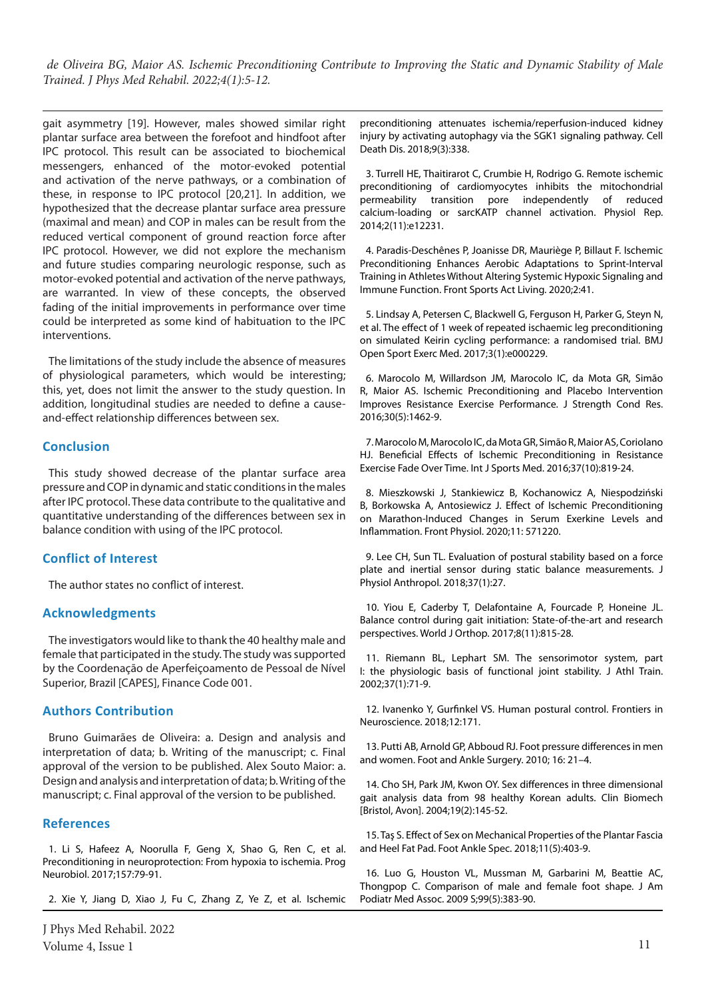gait asymmetry [19]. However, males showed similar right plantar surface area between the forefoot and hindfoot after IPC protocol. This result can be associated to biochemical messengers, enhanced of the motor-evoked potential and activation of the nerve pathways, or a combination of these, in response to IPC protocol [20,21]. In addition, we hypothesized that the decrease plantar surface area pressure (maximal and mean) and COP in males can be result from the reduced vertical component of ground reaction force after IPC protocol. However, we did not explore the mechanism and future studies comparing neurologic response, such as motor-evoked potential and activation of the nerve pathways, are warranted. In view of these concepts, the observed fading of the initial improvements in performance over time could be interpreted as some kind of habituation to the IPC interventions.

The limitations of the study include the absence of measures of physiological parameters, which would be interesting; this, yet, does not limit the answer to the study question. In addition, longitudinal studies are needed to define a causeand-effect relationship differences between sex.

## **Conclusion**

This study showed decrease of the plantar surface area pressure and COP in dynamic and static conditions in the males after IPC protocol. These data contribute to the qualitative and quantitative understanding of the differences between sex in balance condition with using of the IPC protocol.

# **Conflict of Interest**

The author states no conflict of interest.

## **Acknowledgments**

The investigators would like to thank the 40 healthy male and female that participated in the study. The study was supported by the Coordenação de Aperfeiçoamento de Pessoal de Nível Superior, Brazil [CAPES], Finance Code 001.

## **Authors Contribution**

Bruno Guimarães de Oliveira: a. Design and analysis and interpretation of data; b. Writing of the manuscript; c. Final approval of the version to be published. Alex Souto Maior: a. Design and analysis and interpretation of data; b. Writing of the manuscript; c. Final approval of the version to be published.

# **References**

1. Li S, Hafeez A, Noorulla F, Geng X, Shao G, Ren C, et al. Preconditioning in neuroprotection: From hypoxia to ischemia. Prog Neurobiol. 2017;157:79-91.

2. Xie Y, Jiang D, Xiao J, Fu C, Zhang Z, Ye Z, et al. Ischemic

J Phys Med Rehabil. 2022 Volume 4, Issue 1  $11$ 

preconditioning attenuates ischemia/reperfusion-induced kidney injury by activating autophagy via the SGK1 signaling pathway. Cell Death Dis. 2018;9(3):338.

3. Turrell HE, Thaitirarot C, Crumbie H, Rodrigo G. Remote ischemic preconditioning of cardiomyocytes inhibits the mitochondrial permeability transition pore independently of reduced calcium-loading or sarcKATP channel activation. Physiol Rep. 2014;2(11):e12231.

4. Paradis-Deschênes P, Joanisse DR, Mauriège P, Billaut F. Ischemic Preconditioning Enhances Aerobic Adaptations to Sprint-Interval Training in Athletes Without Altering Systemic Hypoxic Signaling and Immune Function. Front Sports Act Living. 2020;2:41.

5. Lindsay A, Petersen C, Blackwell G, Ferguson H, Parker G, Steyn N, et al. The effect of 1 week of repeated ischaemic leg preconditioning on simulated Keirin cycling performance: a randomised trial. BMJ Open Sport Exerc Med. 2017;3(1):e000229.

6. Marocolo M, Willardson JM, Marocolo IC, da Mota GR, Simão R, Maior AS. Ischemic Preconditioning and Placebo Intervention Improves Resistance Exercise Performance. J Strength Cond Res. 2016;30(5):1462-9.

7. Marocolo M, Marocolo IC, da Mota GR, Simão R, Maior AS, Coriolano HJ. Beneficial Effects of Ischemic Preconditioning in Resistance Exercise Fade Over Time. Int J Sports Med. 2016;37(10):819-24.

8. Mieszkowski J, Stankiewicz B, Kochanowicz A, Niespodziński B, Borkowska A, Antosiewicz J. Effect of Ischemic Preconditioning on Marathon-Induced Changes in Serum Exerkine Levels and Inflammation. Front Physiol. 2020;11: 571220.

9. Lee CH, Sun TL. Evaluation of postural stability based on a force plate and inertial sensor during static balance measurements. J Physiol Anthropol. 2018;37(1):27.

10. Yiou E, Caderby T, Delafontaine A, Fourcade P, Honeine JL. Balance control during gait initiation: State-of-the-art and research perspectives. World J Orthop. 2017;8(11):815-28.

11. Riemann BL, Lephart SM. The sensorimotor system, part I: the physiologic basis of functional joint stability. J Athl Train. 2002;37(1):71-9.

12. Ivanenko Y, Gurfinkel VS. Human postural control. Frontiers in Neuroscience. 2018;12:171.

13. Putti AB, Arnold GP, Abboud RJ. Foot pressure differences in men and women. Foot and Ankle Surgery. 2010; 16: 21–4.

14. Cho SH, Park JM, Kwon OY. Sex differences in three dimensional gait analysis data from 98 healthy Korean adults. Clin Biomech [Bristol, Avon]. 2004;19(2):145-52.

15. Taş S. Effect of Sex on Mechanical Properties of the Plantar Fascia and Heel Fat Pad. Foot Ankle Spec. 2018;11(5):403-9.

16. Luo G, Houston VL, Mussman M, Garbarini M, Beattie AC, Thongpop C. Comparison of male and female foot shape. J Am Podiatr Med Assoc. 2009 S;99(5):383-90.